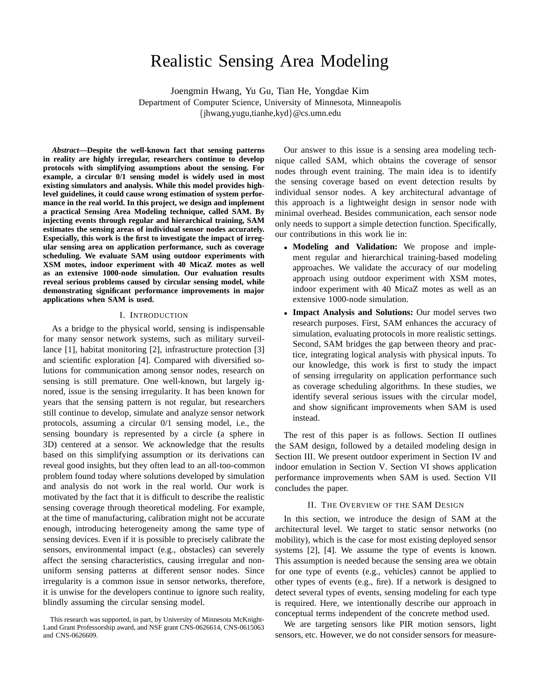# Realistic Sensing Area Modeling

Joengmin Hwang, Yu Gu, Tian He, Yongdae Kim Department of Computer Science, University of Minnesota, Minneapolis {jhwang,yugu,tianhe,kyd}@cs.umn.edu

*Abstract***—Despite the well-known fact that sensing patterns in reality are highly irregular, researchers continue to develop protocols with simplifying assumptions about the sensing. For example, a circular 0/1 sensing model is widely used in most existing simulators and analysis. While this model provides highlevel guidelines, it could cause wrong estimation of system performance in the real world. In this project, we design and implement a practical Sensing Area Modeling technique, called SAM. By injecting events through regular and hierarchical training, SAM estimates the sensing areas of individual sensor nodes accurately. Especially, this work is the first to investigate the impact of irregular sensing area on application performance, such as coverage scheduling. We evaluate SAM using outdoor experiments with XSM motes, indoor experiment with 40 MicaZ motes as well as an extensive 1000-node simulation. Our evaluation results reveal serious problems caused by circular sensing model, while demonstrating significant performance improvements in major applications when SAM is used.**

#### I. INTRODUCTION

As a bridge to the physical world, sensing is indispensable for many sensor network systems, such as military surveillance [1], habitat monitoring [2], infrastructure protection [3] and scientific exploration [4]. Compared with diversified solutions for communication among sensor nodes, research on sensing is still premature. One well-known, but largely ignored, issue is the sensing irregularity. It has been known for years that the sensing pattern is not regular, but researchers still continue to develop, simulate and analyze sensor network protocols, assuming a circular 0/1 sensing model, i.e., the sensing boundary is represented by a circle (a sphere in 3D) centered at a sensor. We acknowledge that the results based on this simplifying assumption or its derivations can reveal good insights, but they often lead to an all-too-common problem found today where solutions developed by simulation and analysis do not work in the real world. Our work is motivated by the fact that it is difficult to describe the realistic sensing coverage through theoretical modeling. For example, at the time of manufacturing, calibration might not be accurate enough, introducing heterogeneity among the same type of sensing devices. Even if it is possible to precisely calibrate the sensors, environmental impact (e.g., obstacles) can severely affect the sensing characteristics, causing irregular and nonuniform sensing patterns at different sensor nodes. Since irregularity is a common issue in sensor networks, therefore, it is unwise for the developers continue to ignore such reality, blindly assuming the circular sensing model.

Our answer to this issue is a sensing area modeling technique called SAM, which obtains the coverage of sensor nodes through event training. The main idea is to identify the sensing coverage based on event detection results by individual sensor nodes. A key architectural advantage of this approach is a lightweight design in sensor node with minimal overhead. Besides communication, each sensor node only needs to support a simple detection function. Specifically, our contributions in this work lie in:

- **Modeling and Validation:** We propose and implement regular and hierarchical training-based modeling approaches. We validate the accuracy of our modeling approach using outdoor experiment with XSM motes, indoor experiment with 40 MicaZ motes as well as an extensive 1000-node simulation.
- **Impact Analysis and Solutions:** Our model serves two research purposes. First, SAM enhances the accuracy of simulation, evaluating protocols in more realistic settings. Second, SAM bridges the gap between theory and practice, integrating logical analysis with physical inputs. To our knowledge, this work is first to study the impact of sensing irregularity on application performance such as coverage scheduling algorithms. In these studies, we identify several serious issues with the circular model, and show significant improvements when SAM is used instead.

The rest of this paper is as follows. Section II outlines the SAM design, followed by a detailed modeling design in Section III. We present outdoor experiment in Section IV and indoor emulation in Section V. Section VI shows application performance improvements when SAM is used. Section VII concludes the paper.

## II. THE OVERVIEW OF THE SAM DESIGN

In this section, we introduce the design of SAM at the architectural level. We target to static sensor networks (no mobility), which is the case for most existing deployed sensor systems [2], [4]. We assume the type of events is known. This assumption is needed because the sensing area we obtain for one type of events (e.g., vehicles) cannot be applied to other types of events (e.g., fire). If a network is designed to detect several types of events, sensing modeling for each type is required. Here, we intentionally describe our approach in conceptual terms independent of the concrete method used.

We are targeting sensors like PIR motion sensors, light sensors, etc. However, we do not consider sensors for measure-

This research was supported, in part, by University of Minnesota McKnight-Land Grant Professorship award, and NSF grant CNS-0626614, CNS-0615063 and CNS-0626609.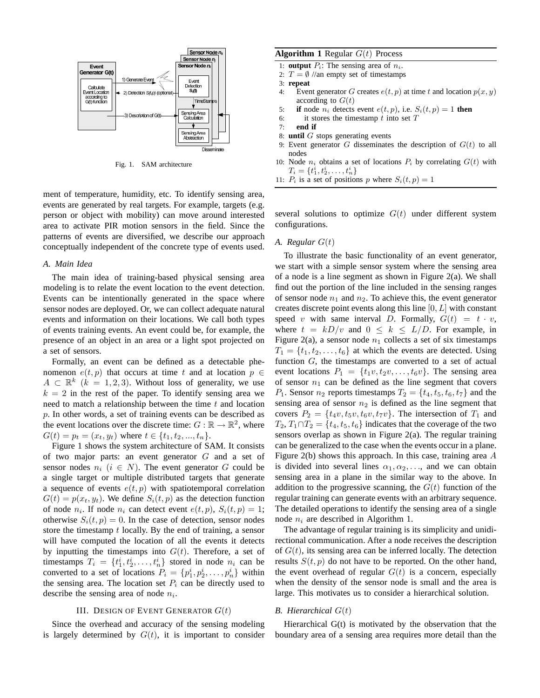

Fig. 1. SAM architecture

ment of temperature, humidity, etc. To identify sensing area, events are generated by real targets. For example, targets (e.g. person or object with mobility) can move around interested area to activate PIR motion sensors in the field. Since the patterns of events are diversified, we describe our approach conceptually independent of the concrete type of events used.

#### *A. Main Idea*

The main idea of training-based physical sensing area modeling is to relate the event location to the event detection. Events can be intentionally generated in the space where sensor nodes are deployed. Or, we can collect adequate natural events and information on their locations. We call both types of events training events. An event could be, for example, the presence of an object in an area or a light spot projected on a set of sensors.

Formally, an event can be defined as a detectable phenomenon  $e(t, p)$  that occurs at time t and at location  $p \in$  $A \subset \mathbb{R}^k$   $(k = 1, 2, 3)$ . Without loss of generality, we use  $k = 2$  in the rest of the paper. To identify sensing area we need to match a relationship between the time  $t$  and location p. In other words, a set of training events can be described as the event locations over the discrete time:  $G : \mathbb{R} \to \mathbb{R}^2$ , where  $G(t) = p_t = (x_t, y_t)$  where  $t \in \{t_1, t_2, ..., t_n\}$ .

Figure 1 shows the system architecture of SAM. It consists of two major parts: an event generator G and a set of sensor nodes  $n_i$  ( $i \in N$ ). The event generator G could be a single target or multiple distributed targets that generate a sequence of events  $e(t, p)$  with spatiotemporal correlation  $G(t) = p(x_t, y_t)$ . We define  $S_i(t, p)$  as the detection function of node  $n_i$ . If node  $n_i$  can detect event  $e(t, p)$ ,  $S_i(t, p) = 1$ ; otherwise  $S_i(t, p) = 0$ . In the case of detection, sensor nodes store the timestamp  $t$  locally. By the end of training, a sensor will have computed the location of all the events it detects by inputting the timestamps into  $G(t)$ . Therefore, a set of timestamps  $T_i = \{t_1^i, t_2^i, \dots, t_n^i\}$  stored in node  $n_i$  can be converted to a set of locations  $P_i = \{p_1^i, p_2^i, \dots, p_n^i\}$  within the sensing area. The location set  $P_i$  can be directly used to describe the sensing area of node  $n_i$ .

#### III. DESIGN OF EVENT GENERATOR  $G(t)$

Since the overhead and accuracy of the sensing modeling is largely determined by  $G(t)$ , it is important to consider

## **Algorithm 1** Regular  $G(t)$  Process

- 1: **output**  $P_i$ : The sensing area of  $n_i$ .
- 2:  $T = \emptyset$  //an empty set of timestamps
- 3: **repeat**
- 4: Event generator G creates  $e(t, p)$  at time t and location  $p(x, y)$ according to  $G(t)$
- 5: **if** node  $n_i$  detects event  $e(t, p)$ , i.e.  $S_i(t, p) = 1$  then
- 6: it stores the timestamp  $t$  into set  $T$
- 7: **end if**
- 8: **until** G stops generating events
- 9: Event generator  $G$  disseminates the description of  $G(t)$  to all nodes
- 10: Node  $n_i$  obtains a set of locations  $P_i$  by correlating  $G(t)$  with  $T_i = \{t_1^i, t_2^i, \dots, t_n^i\}$
- 11:  $P_i$  is a set of positions p where  $S_i(t, p) = 1$

several solutions to optimize  $G(t)$  under different system configurations.

## *A. Regular* G(t)

To illustrate the basic functionality of an event generator, we start with a simple sensor system where the sensing area of a node is a line segment as shown in Figure 2(a). We shall find out the portion of the line included in the sensing ranges of sensor node  $n_1$  and  $n_2$ . To achieve this, the event generator creates discrete point events along this line  $[0, L]$  with constant speed v with same interval D. Formally,  $G(t) = t \cdot v$ , where  $t = kD/v$  and  $0 \le k \le L/D$ . For example, in Figure 2(a), a sensor node  $n_1$  collects a set of six timestamps  $T_1 = \{t_1, t_2, \ldots, t_6\}$  at which the events are detected. Using function  $G$ , the timestamps are converted to a set of actual event locations  $P_1 = \{t_1v, t_2v, \ldots, t_6v\}$ . The sensing area of sensor  $n_1$  can be defined as the line segment that covers  $P_1$ . Sensor  $n_2$  reports timestamps  $T_2 = \{t_4, t_5, t_6, t_7\}$  and the sensing area of sensor  $n_2$  is defined as the line segment that covers  $P_2 = \{t_4v, t_5v, t_6v, t_7v\}$ . The intersection of  $T_1$  and  $T_2, T_1 \cap T_2 = \{t_4, t_5, t_6\}$  indicates that the coverage of the two sensors overlap as shown in Figure  $2(a)$ . The regular training can be generalized to the case when the events occur in a plane. Figure 2(b) shows this approach. In this case, training area A is divided into several lines  $\alpha_1, \alpha_2, \ldots$ , and we can obtain sensing area in a plane in the similar way to the above. In addition to the progressive scanning, the  $G(t)$  function of the regular training can generate events with an arbitrary sequence. The detailed operations to identify the sensing area of a single node  $n_i$  are described in Algorithm 1.

The advantage of regular training is its simplicity and unidirectional communication. After a node receives the description of  $G(t)$ , its sensing area can be inferred locally. The detection results  $S(t, p)$  do not have to be reported. On the other hand, the event overhead of regular  $G(t)$  is a concern, especially when the density of the sensor node is small and the area is large. This motivates us to consider a hierarchical solution.

# *B. Hierarchical* G(t)

Hierarchical G(t) is motivated by the observation that the boundary area of a sensing area requires more detail than the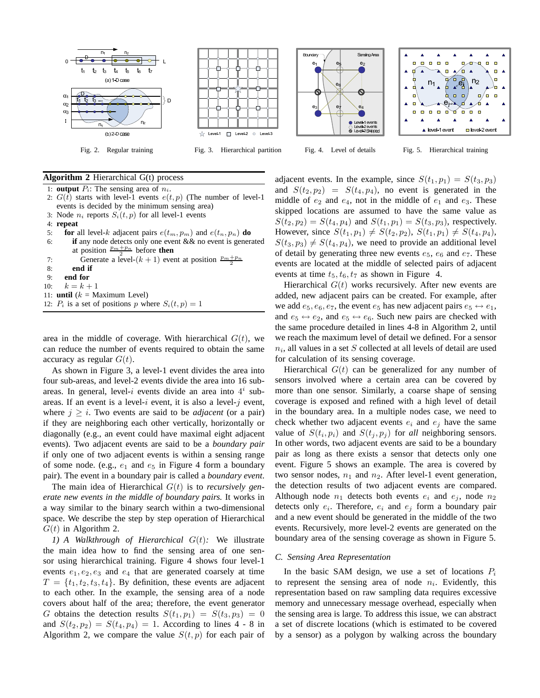

# **Algorithm 2** Hierarchical G(t) process

#### 1: **output**  $P_i$ : The sensing area of  $n_i$ .

- 2:  $G(t)$  starts with level-1 events  $e(t, p)$  (The number of level-1 events is decided by the minimum sensing area)
- 3: Node  $n_i$  reports  $S_i(t, p)$  for all level-1 events
- 4: **repeat**
- 5: **for** all level-k adjacent pairs  $e(t_m, p_m)$  and  $e(t_n, p_n)$  **do**
- 6: **if** any node detects only one event && no event is generated at position  $\frac{p_m+p_n}{2}$  before **then**
- 7: Generate a level- $(k + 1)$  event at position  $\frac{p_m + p_n}{2}$
- 8: **end if**
- 9: **end for**
- 10:  $k = k + 1$
- 11: **until**  $(k =$  Maximum Level)
- 12:  $P_i$  is a set of positions p where  $S_i(t, p) = 1$

area in the middle of coverage. With hierarchical  $G(t)$ , we can reduce the number of events required to obtain the same accuracy as regular  $G(t)$ .

As shown in Figure 3, a level-1 event divides the area into four sub-areas, and level-2 events divide the area into 16 subareas. In general, level-i events divide an area into  $4^i$  subareas. If an event is a level-i event, it is also a level-j event, where  $j \geq i$ . Two events are said to be *adjacent* (or a pair) if they are neighboring each other vertically, horizontally or diagonally (e.g., an event could have maximal eight adjacent events). Two adjacent events are said to be a *boundary pair* if only one of two adjacent events is within a sensing range of some node. (e.g.,  $e_1$  and  $e_5$  in Figure 4 form a boundary pair). The event in a boundary pair is called a *boundary event*.

The main idea of Hierarchical G(t) is to *recursively generate new events in the middle of boundary pairs.* It works in a way similar to the binary search within a two-dimensional space. We describe the step by step operation of Hierarchical  $G(t)$  in Algorithm 2.

*1) A Walkthrough of Hierarchical* G(t)*:* We illustrate the main idea how to find the sensing area of one sensor using hierarchical training. Figure 4 shows four level-1 events  $e_1, e_2, e_3$  and  $e_4$  that are generated coarsely at time  $T = \{t_1, t_2, t_3, t_4\}$ . By definition, these events are adjacent to each other. In the example, the sensing area of a node covers about half of the area; therefore, the event generator G obtains the detection results  $S(t_1, p_1) = S(t_3, p_3) = 0$ and  $S(t_2, p_2) = S(t_4, p_4) = 1$ . According to lines 4 - 8 in Algorithm 2, we compare the value  $S(t, p)$  for each pair of

adjacent events. In the example, since  $S(t_1, p_1) = S(t_3, p_3)$ and  $S(t_2, p_2) = S(t_4, p_4)$ , no event is generated in the middle of  $e_2$  and  $e_4$ , not in the middle of  $e_1$  and  $e_3$ . These skipped locations are assumed to have the same value as  $S(t_2, p_2) = S(t_4, p_4)$  and  $S(t_1, p_1) = S(t_3, p_3)$ , respectively. However, since  $S(t_1, p_1) \neq S(t_2, p_2)$ ,  $S(t_1, p_1) \neq S(t_4, p_4)$ ,  $S(t_3, p_3) \neq S(t_4, p_4)$ , we need to provide an additional level of detail by generating three new events  $e_5$ ,  $e_6$  and  $e_7$ . These events are located at the middle of selected pairs of adjacent events at time  $t_5, t_6, t_7$  as shown in Figure 4.

Hierarchical  $G(t)$  works recursively. After new events are added, new adjacent pairs can be created. For example, after we add  $e_5, e_6, e_7$ , the event  $e_5$  has new adjacent pairs  $e_5 \leftrightarrow e_1$ , and  $e_5 \leftrightarrow e_2$ , and  $e_5 \leftrightarrow e_6$ . Such new pairs are checked with the same procedure detailed in lines 4-8 in Algorithm 2, until we reach the maximum level of detail we defined. For a sensor  $n_i$ , all values in a set S collected at all levels of detail are used for calculation of its sensing coverage.

Hierarchical  $G(t)$  can be generalized for any number of sensors involved where a certain area can be covered by more than one sensor. Similarly, a coarse shape of sensing coverage is exposed and refined with a high level of detail in the boundary area. In a multiple nodes case, we need to check whether two adjacent events  $e_i$  and  $e_j$  have the same value of  $S(t_i, p_i)$  and  $S(t_j, p_j)$  for *all* neighboring sensors. In other words, two adjacent events are said to be a boundary pair as long as there exists a sensor that detects only one event. Figure 5 shows an example. The area is covered by two sensor nodes,  $n_1$  and  $n_2$ . After level-1 event generation, the detection results of two adjacent events are compared. Although node  $n_1$  detects both events  $e_i$  and  $e_j$ , node  $n_2$ detects only  $e_i$ . Therefore,  $e_i$  and  $e_j$  form a boundary pair and a new event should be generated in the middle of the two events. Recursively, more level-2 events are generated on the boundary area of the sensing coverage as shown in Figure 5.

# *C. Sensing Area Representation*

In the basic SAM design, we use a set of locations  $P_i$ to represent the sensing area of node  $n_i$ . Evidently, this representation based on raw sampling data requires excessive memory and unnecessary message overhead, especially when the sensing area is large. To address this issue, we can abstract a set of discrete locations (which is estimated to be covered by a sensor) as a polygon by walking across the boundary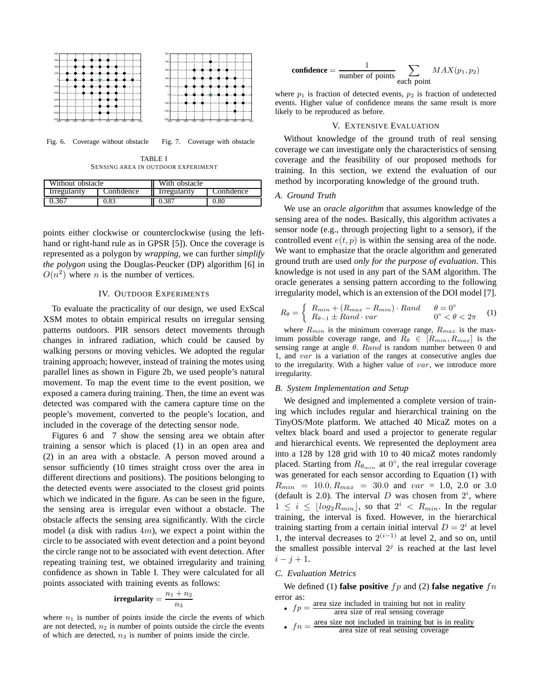

Fig. 6. Coverage without obstacle Fig. 7. Coverage with obstacle

TABLE I SENSING AREA IN OUTDOOR EXPERIMENT

| Without obstacle |                   | With obstacle |            |
|------------------|-------------------|---------------|------------|
| Irregularıtv     | <b>Confidence</b> | Irregularity  | Confidence |
| 0.367            | 0.83              | 0.387         | $\rm 0.80$ |

points either clockwise or counterclockwise (using the lefthand or right-hand rule as in GPSR [5]). Once the coverage is represented as a polygon by *wrapping*, we can further *simplify the polygon* using the Douglas-Peucker (DP) algorithm [6] in  $O(n^2)$  where *n* is the number of vertices.

## IV. OUTDOOR EXPERIMENTS

To evaluate the practicality of our design, we used ExScal XSM motes to obtain empirical results on irregular sensing patterns outdoors. PIR sensors detect movements through changes in infrared radiation, which could be caused by walking persons or moving vehicles. We adopted the regular training approach; however, instead of training the motes using parallel lines as shown in Figure 2b, we used people's natural movement. To map the event time to the event position, we exposed a camera during training. Then, the time an event was detected was compared with the camera capture time on the people's movement, converted to the people's location, and included in the coverage of the detecting sensor node.

Figures 6 and 7 show the sensing area we obtain after training a sensor which is placed (1) in an open area and (2) in an area with a obstacle. A person moved around a sensor sufficiently (10 times straight cross over the area in different directions and positions). The positions belonging to the detected events were associated to the closest grid points which we indicated in the figure. As can be seen in the figure, the sensing area is irregular even without a obstacle. The obstacle affects the sensing area significantly. With the circle model (a disk with radius  $4m$ ), we expect a point within the circle to be associated with event detection and a point beyond the circle range not to be associated with event detection. After repeating training test, we obtained irregularity and training confidence as shown in Table I. They were calculated for all points associated with training events as follows:

$$
irregularity = \frac{n_1 + n_2}{n_3}
$$

where  $n_1$  is number of points inside the circle the events of which are not detected,  $n_2$  is number of points outside the circle the events of which are detected,  $n_3$  is number of points inside the circle.

**confidence** = 
$$
\frac{1}{\text{number of points}} \sum_{\text{each point}} MAX(p_1, p_2)
$$

where  $p_1$  is fraction of detected events,  $p_2$  is fraction of undetected events. Higher value of confidence means the same result is more likely to be reproduced as before.

#### V. EXTENSIVE EVALUATION

Without knowledge of the ground truth of real sensing coverage we can investigate only the characteristics of sensing coverage and the feasibility of our proposed methods for training. In this section, we extend the evaluation of our method by incorporating knowledge of the ground truth.

#### *A. Ground Truth*

We use an *oracle algorithm* that assumes knowledge of the sensing area of the nodes. Basically, this algorithm activates a sensor node (e.g., through projecting light to a sensor), if the controlled event  $e(t, p)$  is within the sensing area of the node. We want to emphasize that the oracle algorithm and generated ground truth are used *only for the purpose of evaluation*. This knowledge is not used in any part of the SAM algorithm. The oracle generates a sensing pattern according to the following irregularity model, which is an extension of the DOI model [7].

$$
R_{\theta} = \begin{cases} R_{min} + (R_{max} - R_{min}) \cdot Rand & \theta = 0^{\circ} \\ R_{\theta - 1} \pm Rand \cdot var & 0^{\circ} < \theta < 2\pi \end{cases}
$$
 (1)

where  $R_{min}$  is the minimum coverage range,  $R_{max}$  is the maximum possible coverage range, and  $R_{\theta} \in [R_{min}, R_{max}]$  is the sensing range at angle  $\theta$ . Rand is random number between 0 and 1, and var is a variation of the ranges at consecutive angles due to the irregularity. With a higher value of  $var$ , we introduce more irregularity.

#### *B. System Implementation and Setup*

We designed and implemented a complete version of training which includes regular and hierarchical training on the TinyOS/Mote platform. We attached 40 MicaZ motes on a veltex black board and used a projector to generate regular and hierarchical events. We represented the deployment area into a 128 by 128 grid with 10 to 40 micaZ motes randomly placed. Starting from  $R_{\theta_{min}}$  at 0°, the real irregular coverage was generated for each sensor according to Equation (1) with  $R_{min}$  = 10.0,  $R_{max}$  = 30.0 and var = 1.0, 2.0 or 3.0 (default is 2.0). The interval D was chosen from  $2^i$ , where  $1 \leq i \leq \lfloor log_2 R_{min} \rfloor$ , so that  $2^i \lt R_{min}$ . In the regular training, the interval is fixed. However, in the hierarchical training starting from a certain initial interval  $D = 2<sup>i</sup>$  at level 1, the interval decreases to  $2^{(i-1)}$  at level 2, and so on, until the smallest possible interval  $2<sup>j</sup>$  is reached at the last level  $i - j + 1.$ 

#### *C. Evaluation Metrics*

We defined (1) **false positive**  $fp$  and (2) **false negative**  $fn$ error as:

•  $fp = \frac{\text{area size included in training but not in reality}}{\text{area size of real sensing coverage}}$ area size of real sensing coverage •  $fn = \frac{\text{area size not included in training but is in reality}}{\text{area size of real sensing curves}}$ area size of real sensing coverage